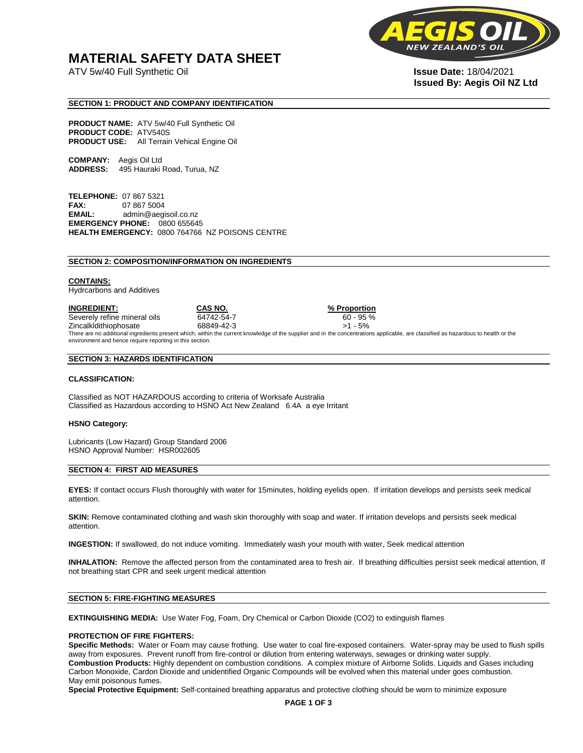## **MATERIAL SAFETY DATA SHEET**

ATV 5w/40 Full Synthetic Oil **Issue Date:** 18/04/2021



# **Issued By: Aegis Oil NZ Ltd**

#### **SECTION 1: PRODUCT AND COMPANY IDENTIFICATION**

**PRODUCT NAME:** ATV 5w/40 Full Synthetic Oil **PRODUCT CODE:** ATV540S **PRODUCT USE:** All Terrain Vehical Engine Oil

**COMPANY:** Aegis Oil Ltd **ADDRESS:** 495 Hauraki Road, Turua, NZ

**TELEPHONE:** 07 867 5321 **FAX:** 07 867 5004 **EMAIL:** admin@aegisoil.co.nz **EMERGENCY PHONE:** 0800 655645 **HEALTH EMERGENCY:** 0800 764766 NZ POISONS CENTRE

#### **SECTION 2: COMPOSITION/INFORMATION ON INGREDIENTS**

#### **CONTAINS:**

Hydrcarbons and Additives

**INGREDIENT: CAS NO. % Proportion**  Severely refine mineral oils 64742-54-7 60 - 95 % Zincalkldithiophosate 68849-42-3 >1 - 5% There are no additional ingredients present which, within the current knowledge of the supplier and in the concentrations applicable, are classified as hazardous to health or the environment and hence require reporting in this section.

#### **SECTION 3: HAZARDS IDENTIFICATION**

#### **CLASSIFICATION:**

Classified as NOT HAZARDOUS according to criteria of Worksafe Australia Classified as Hazardous according to HSNO Act New Zealand 6.4A a eye Irritant

#### **HSNO Category:**

Lubricants (Low Hazard) Group Standard 2006 HSNO Approval Number: HSR002605

#### **SECTION 4: FIRST AID MEASURES**

**EYES:** If contact occurs Flush thoroughly with water for 15minutes, holding eyelids open. If irritation develops and persists seek medical attention.

**SKIN:** Remove contaminated clothing and wash skin thoroughly with soap and water. If irritation develops and persists seek medical attention.

**INGESTION:** If swallowed, do not induce vomiting. Immediately wash your mouth with water, Seek medical attention

**INHALATION:** Remove the affected person from the contaminated area to fresh air. If breathing difficulties persist seek medical attention, If not breathing start CPR and seek urgent medical attention

#### **SECTION 5: FIRE-FIGHTING MEASURES**

**EXTINGUISHING MEDIA:** Use Water Fog, Foam, Dry Chemical or Carbon Dioxide (CO2) to extinguish flames

#### **PROTECTION OF FIRE FIGHTERS:**

**Specific Methods:** Water or Foam may cause frothing. Use water to coal fire-exposed containers. Water-spray may be used to flush spills away from exposures. Prevent runoff from fire-control or dilution from entering waterways, sewages or drinking water supply. **Combustion Products:** Highly dependent on combustion conditions. A complex mixture of Airborne Solids. Liquids and Gases including Carbon Monoxide, Cardon Dioxide and unidentified Organic Compounds will be evolved when this material under goes combustion. May emit poisonous fumes.

**Special Protective Equipment:** Self-contained breathing apparatus and protective clothing should be worn to minimize exposure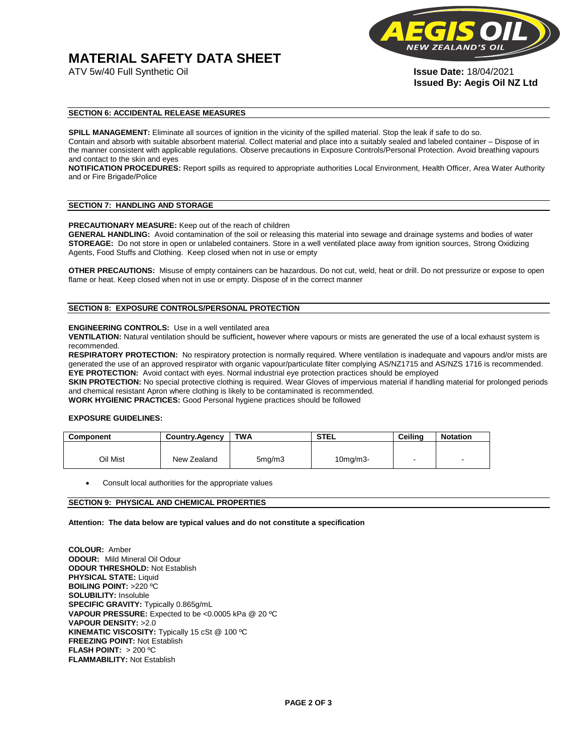# **MATERIAL SAFETY DATA SHEET**



**Issued By: Aegis Oil NZ Ltd** 

#### **SECTION 6: ACCIDENTAL RELEASE MEASURES**

**SPILL MANAGEMENT:** Eliminate all sources of ignition in the vicinity of the spilled material. Stop the leak if safe to do so. Contain and absorb with suitable absorbent material. Collect material and place into a suitably sealed and labeled container – Dispose of in the manner consistent with applicable regulations. Observe precautions in Exposure Controls/Personal Protection. Avoid breathing vapours and contact to the skin and eyes

**NOTIFICATION PROCEDURES:** Report spills as required to appropriate authorities Local Environment, Health Officer, Area Water Authority and or Fire Brigade/Police

#### **SECTION 7: HANDLING AND STORAGE**

**PRECAUTIONARY MEASURE:** Keep out of the reach of children

**GENERAL HANDLING:** Avoid contamination of the soil or releasing this material into sewage and drainage systems and bodies of water **STOREAGE:** Do not store in open or unlabeled containers. Store in a well ventilated place away from ignition sources, Strong Oxidizing Agents, Food Stuffs and Clothing. Keep closed when not in use or empty

**OTHER PRECAUTIONS:** Misuse of empty containers can be hazardous. Do not cut, weld, heat or drill. Do not pressurize or expose to open flame or heat. Keep closed when not in use or empty. Dispose of in the correct manner

#### **SECTION 8: EXPOSURE CONTROLS/PERSONAL PROTECTION**

#### **ENGINEERING CONTROLS:** Use in a well ventilated area

**VENTILATION:** Natural ventilation should be sufficient**,** however where vapours or mists are generated the use of a local exhaust system is recommended.

**RESPIRATORY PROTECTION:** No respiratory protection is normally required. Where ventilation is inadequate and vapours and/or mists are generated the use of an approved respirator with organic vapour/particulate filter complying AS/NZ1715 and AS/NZS 1716 is recommended. **EYE PROTECTION:** Avoid contact with eyes. Normal industrial eye protection practices should be employed

**SKIN PROTECTION:** No special protective clothing is required. Wear Gloves of impervious material if handling material for prolonged periods and chemical resistant Apron where clothing is likely to be contaminated is recommended.

**WORK HYGIENIC PRACTICES:** Good Personal hygiene practices should be followed

#### **EXPOSURE GUIDELINES:**

| <b>Component</b> | <b>Country.Agency</b> | <b>TWA</b>          | <b>STEL</b>    | Ceilina | <b>Notation</b>          |
|------------------|-----------------------|---------------------|----------------|---------|--------------------------|
|                  |                       |                     |                |         |                          |
| Oil Mist         | New Zealand           | 5 <sub>mq</sub> /m3 | $10$ mg/m $3-$ |         | $\overline{\phantom{a}}$ |

Consult local authorities for the appropriate values

#### **SECTION 9: PHYSICAL AND CHEMICAL PROPERTIES**

**Attention: The data below are typical values and do not constitute a specification** 

**COLOUR:** Amber **ODOUR:** Mild Mineral Oil Odour **ODOUR THRESHOLD:** Not Establish **PHYSICAL STATE:** Liquid **BOILING POINT:** >220 ºC **SOLUBILITY:** Insoluble **SPECIFIC GRAVITY:** Typically 0.865g/mL **VAPOUR PRESSURE:** Expected to be <0.0005 kPa @ 20 ºC **VAPOUR DENSITY:** >2.0 **KINEMATIC VISCOSITY:** Typically 15 cSt @ 100 ºC **FREEZING POINT: Not Establish FLASH POINT:** > 200 ºC **FLAMMABILITY:** Not Establish